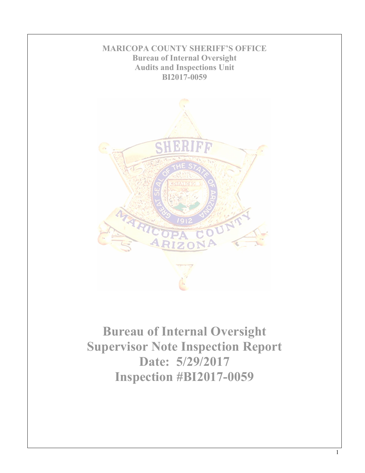

**Bureau of Internal Oversight Supervisor Note Inspection Report Date: 5/29/2017 Inspection #BI2017-0059**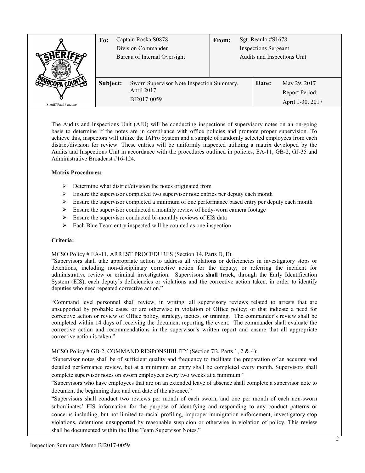|                      | Captain Roska S0878<br>To:<br>Division Commander<br>Bureau of Internal Oversight |                                                                        | Sgt. Reaulo #S1678<br><b>From:</b><br><b>Inspections Sergeant</b><br>Audits and Inspections Unit |  |       |                                                    |
|----------------------|----------------------------------------------------------------------------------|------------------------------------------------------------------------|--------------------------------------------------------------------------------------------------|--|-------|----------------------------------------------------|
| Sheriff Paul Penzone | Subject:                                                                         | Sworn Supervisor Note Inspection Summary,<br>April 2017<br>BI2017-0059 |                                                                                                  |  | Date: | May 29, 2017<br>Report Period:<br>April 1-30, 2017 |

The Audits and Inspections Unit (AIU) will be conducting inspections of supervisory notes on an on-going basis to determine if the notes are in compliance with office policies and promote proper supervision. To achieve this, inspectors will utilize the IAPro System and a sample of randomly selected employees from each district/division for review. These entries will be uniformly inspected utilizing a matrix developed by the Audits and Inspections Unit in accordance with the procedures outlined in policies, EA-11, GB-2, GJ-35 and Administrative Broadcast #16-124.

## **Matrix Procedures:**

- $\triangleright$  Determine what district/division the notes originated from
- $\triangleright$  Ensure the supervisor completed two supervisor note entries per deputy each month
- $\triangleright$  Ensure the supervisor completed a minimum of one performance based entry per deputy each month
- $\triangleright$  Ensure the supervisor conducted a monthly review of body-worn camera footage
- $\triangleright$  Ensure the supervisor conducted bi-monthly reviews of EIS data
- $\triangleright$  Each Blue Team entry inspected will be counted as one inspection

### **Criteria:**

### MCSO Policy # EA-11, ARREST PROCEDURES (Section 14, Parts D, E):

"Supervisors shall take appropriate action to address all violations or deficiencies in investigatory stops or detentions, including non-disciplinary corrective action for the deputy; or referring the incident for administrative review or criminal investigation. Supervisors **shall track**, through the Early Identification System (EIS), each deputy's deficiencies or violations and the corrective action taken, in order to identify deputies who need repeated corrective action."

"Command level personnel shall review, in writing, all supervisory reviews related to arrests that are unsupported by probable cause or are otherwise in violation of Office policy; or that indicate a need for corrective action or review of Office policy, strategy, tactics, or training. The commander's review shall be completed within 14 days of receiving the document reporting the event. The commander shall evaluate the corrective action and recommendations in the supervisor's written report and ensure that all appropriate corrective action is taken."

# MCSO Policy # GB-2, COMMAND RESPONSIBILITY (Section 7B, Parts 1, 2 & 4):

"Supervisor notes shall be of sufficient quality and frequency to facilitate the preparation of an accurate and detailed performance review, but at a minimum an entry shall be completed every month. Supervisors shall complete supervisor notes on sworn employees every two weeks at a minimum."

"Supervisors who have employees that are on an extended leave of absence shall complete a supervisor note to document the beginning date and end date of the absence."

"Supervisors shall conduct two reviews per month of each sworn, and one per month of each non-sworn subordinates' EIS information for the purpose of identifying and responding to any conduct patterns or concerns including, but not limited to racial profiling, improper immigration enforcement, investigatory stop violations, detentions unsupported by reasonable suspicion or otherwise in violation of policy. This review shall be documented within the Blue Team Supervisor Notes."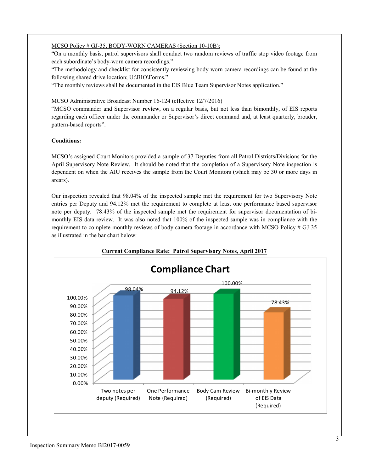# MCSO Policy # GJ-35, BODY-WORN CAMERAS (Section 10-10B):

"On a monthly basis, patrol supervisors shall conduct two random reviews of traffic stop video footage from each subordinate's body-worn camera recordings."

"The methodology and checklist for consistently reviewing body-worn camera recordings can be found at the following shared drive location; U:\BIO\Forms."

"The monthly reviews shall be documented in the EIS Blue Team Supervisor Notes application."

### MCSO Administrative Broadcast Number 16-124 (effective 12/7/2016)

"MCSO commander and Supervisor **review**, on a regular basis, but not less than bimonthly, of EIS reports regarding each officer under the commander or Supervisor's direct command and, at least quarterly, broader, pattern-based reports".

## **Conditions:**

MCSO's assigned Court Monitors provided a sample of 37 Deputies from all Patrol Districts/Divisions for the April Supervisory Note Review. It should be noted that the completion of a Supervisory Note inspection is dependent on when the AIU receives the sample from the Court Monitors (which may be 30 or more days in arears).

Our inspection revealed that 98.04% of the inspected sample met the requirement for two Supervisory Note entries per Deputy and 94.12% met the requirement to complete at least one performance based supervisor note per deputy. 78.43% of the inspected sample met the requirement for supervisor documentation of bimonthly EIS data review. It was also noted that 100% of the inspected sample was in compliance with the requirement to complete monthly reviews of body camera footage in accordance with MCSO Policy # GJ-35 as illustrated in the bar chart below:



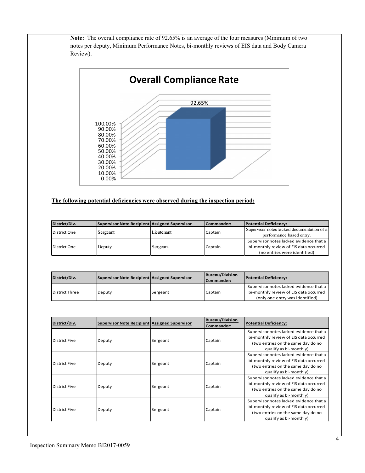**Note:** The overall compliance rate of 92.65% is an average of the four measures (Minimum of two notes per deputy, Minimum Performance Notes, bi-monthly reviews of EIS data and Body Camera Review).



# **The following potential deficiencies were observed during the inspection period:**

| District/Div. | Supervisor Note Recipient Assigned Supervisor |            | Commander: | <b>Potential Deficiency:</b>               |
|---------------|-----------------------------------------------|------------|------------|--------------------------------------------|
| District One  | Sergeant                                      | Lieutenant | Captain    | Supervisor notes lacked documentation of a |
|               |                                               |            |            | performance based entry.                   |
| District One  | Deputy                                        | Sergeant   | Captain    | Supervisor notes lacked evidence that a    |
|               |                                               |            |            | bi-monthly review of EIS data occurred     |
|               |                                               |            |            | (no entries were identified)               |

| District/Div.  | Supervisor Note Recipient Assigned Supervisor |          | Bureau/Division<br>Commander:   | <b>Potential Deficiency:</b>                                                      |
|----------------|-----------------------------------------------|----------|---------------------------------|-----------------------------------------------------------------------------------|
| District Three | Deputy                                        | Sergeant | Captain                         | Supervisor notes lacked evidence that a<br>bi-monthly review of EIS data occurred |
|                |                                               |          | (only one entry was identified) |                                                                                   |

| District/Div.        | Supervisor Note Recipient Assigned Supervisor |          | <b>Bureau/Division</b><br>Commander: | <b>Potential Deficiency:</b>                                                                                                                      |
|----------------------|-----------------------------------------------|----------|--------------------------------------|---------------------------------------------------------------------------------------------------------------------------------------------------|
| District Five        | Deputy                                        | Sergeant | Captain                              | Supervisor notes lacked evidence that a<br>bi-monthly review of EIS data occurred<br>(two entries on the same day do no<br>qualify as bi-monthly) |
| <b>District Five</b> | Deputy                                        | Sergeant | Captain                              | Supervisor notes lacked evidence that a<br>bi-monthly review of EIS data occurred<br>(two entries on the same day do no<br>qualify as bi-monthly) |
| <b>District Five</b> | Deputy                                        | Sergeant | Captain                              | Supervisor notes lacked evidence that a<br>bi-monthly review of EIS data occurred<br>(two entries on the same day do no<br>qualify as bi-monthly) |
| <b>District Five</b> | Deputy                                        | Sergeant | Captain                              | Supervisor notes lacked evidence that a<br>bi-monthly review of EIS data occurred<br>(two entries on the same day do no<br>qualify as bi-monthly) |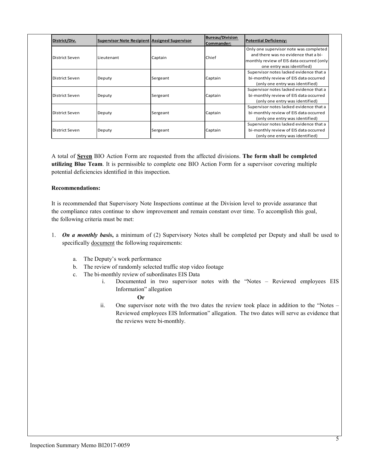|  | District/Div.  | <b>Supervisor Note Recipient Assigned Supervisor</b> |          | <b>Bureau/Division</b><br>Commander: | Potential Deficiency:                     |
|--|----------------|------------------------------------------------------|----------|--------------------------------------|-------------------------------------------|
|  | District Seven | Lieutenant                                           | Captain  | Chief                                | Only one supervisor note was completed    |
|  |                |                                                      |          |                                      | and there was no evidence that a bi-      |
|  |                |                                                      |          |                                      | monthly review of EIS data occurred (only |
|  |                |                                                      |          |                                      | one entry was identified)                 |
|  | District Seven | Deputy                                               | Sergeant | Captain                              | Supervisor notes lacked evidence that a   |
|  |                |                                                      |          |                                      | bi-monthly review of EIS data occurred    |
|  |                |                                                      |          |                                      | (only one entry was identified)           |
|  | District Seven | Deputy                                               | Sergeant | Captain                              | Supervisor notes lacked evidence that a   |
|  |                |                                                      |          |                                      | bi-monthly review of EIS data occurred    |
|  |                |                                                      |          |                                      | (only one entry was identified)           |
|  | District Seven | Deputy                                               | Sergeant | Captain                              | Supervisor notes lacked evidence that a   |
|  |                |                                                      |          |                                      | bi-monthly review of EIS data occurred    |
|  |                |                                                      |          |                                      | (only one entry was identified)           |
|  | District Seven | Deputy                                               | Sergeant | Captain                              | Supervisor notes lacked evidence that a   |
|  |                |                                                      |          |                                      | bi-monthly review of EIS data occurred    |
|  |                |                                                      |          |                                      | (only one entry was identified)           |

A total of **Seven** BIO Action Form are requested from the affected divisions. **The form shall be completed utilizing Blue Team**. It is permissible to complete one BIO Action Form for a supervisor covering multiple potential deficiencies identified in this inspection.

#### **Recommendations:**

It is recommended that Supervisory Note Inspections continue at the Division level to provide assurance that the compliance rates continue to show improvement and remain constant over time. To accomplish this goal, the following criteria must be met:

- 1. *On a monthly basis***,** a minimum of (2) Supervisory Notes shall be completed per Deputy and shall be used to specifically document the following requirements:
	- a. The Deputy's work performance
	- b. The review of randomly selected traffic stop video footage
	- c. The bi-monthly review of subordinates EIS Data
		- i. Documented in two supervisor notes with the "Notes Reviewed employees EIS Information" allegation
			- **Or**
		- ii. One supervisor note with the two dates the review took place in addition to the "Notes Reviewed employees EIS Information" allegation. The two dates will serve as evidence that the reviews were bi-monthly.